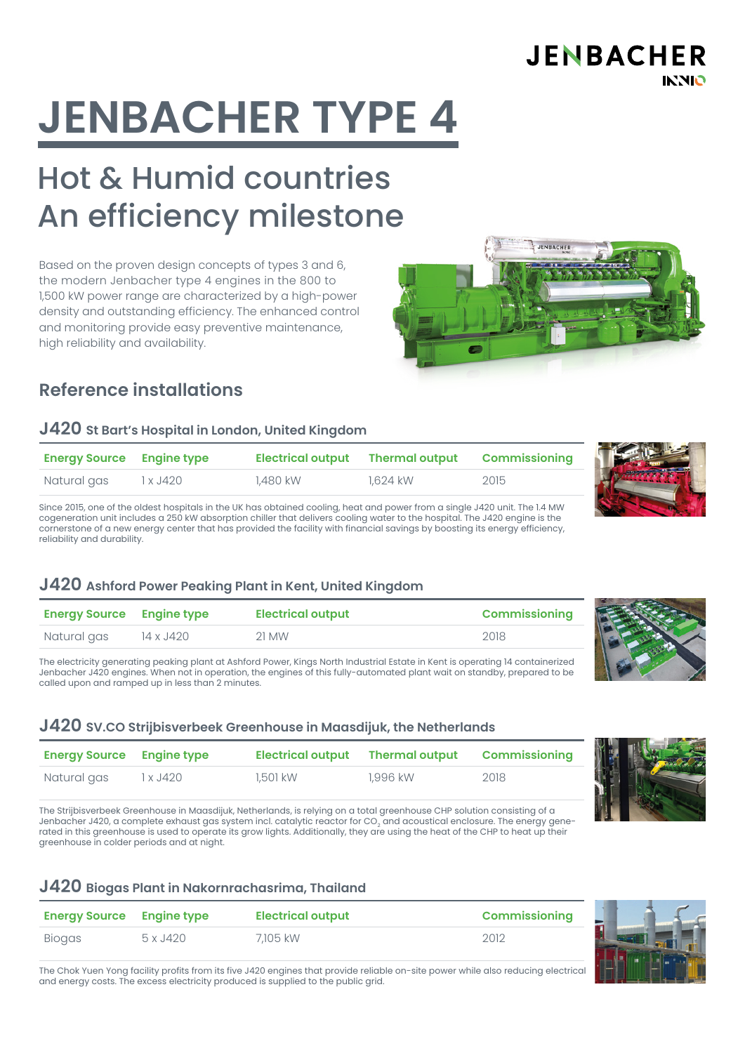# **JENBACHER TYPE 4**

# Hot & Humid countries An efficiency milestone

Based on the proven design concepts of types 3 and 6, the modern Jenbacher type 4 engines in the 800 to 1,500 kW power range are characterized by a high-power density and outstanding efficiency. The enhanced control and monitoring provide easy preventive maintenance, high reliability and availability.

# **Reference installations**

#### **J420 St Bart's Hospital in London, United Kingdom**

| <b>Energy Source Engine type</b> |          |          | Electrical output Thermal output Commissioning |      |
|----------------------------------|----------|----------|------------------------------------------------|------|
| Natural gas                      | 1 x J420 | 1,480 kW | 1,624 kW                                       | 2015 |

Since 2015, one of the oldest hospitals in the UK has obtained cooling, heat and power from a single J420 unit. The 1.4 MW cogeneration unit includes a 250 kW absorption chiller that delivers cooling water to the hospital. The J420 engine is the cornerstone of a new energy center that has provided the facility with financial savings by boosting its energy efficiency, reliability and durability.

#### **J420 Ashford Power Peaking Plant in Kent, United Kingdom**

| <b>Energy Source Engine type</b> |           | <b>Electrical output</b> | <b>Commissioning</b> |
|----------------------------------|-----------|--------------------------|----------------------|
| Natural gas                      | 14 x J420 | 21 MW                    | 2018                 |

The electricity generating peaking plant at Ashford Power, Kings North Industrial Estate in Kent is operating 14 containerized Jenbacher J420 engines. When not in operation, the engines of this fully-automated plant wait on standby, prepared to be called upon and ramped up in less than 2 minutes.

#### **J420 SV.CO Strijbisverbeek Greenhouse in Maasdijuk, the Netherlands**

| <b>Energy Source Engine type</b> |          |          | Electrical output Thermal output Commissioning |      |  |
|----------------------------------|----------|----------|------------------------------------------------|------|--|
| Natural gas                      | 1 x J420 | 1,501 kW | 1.996 kW                                       | 2018 |  |

The Strijbisverbeek Greenhouse in Maasdijuk, Netherlands, is relying on a total greenhouse CHP solution consisting of a Jenbacher J420, a complete exhaust gas system incl. catalytic reactor for CO<sub>2</sub> and acoustical enclosure. The energy generated in this greenhouse is used to operate its grow lights. Additionally, they are using the heat of the CHP to heat up their greenhouse in colder periods and at night.

#### **J420 Biogas Plant in Nakornrachasrima, Thailand**

| <b>Energy Source Engine type</b> |          | <b>Electrical output</b> | <b>Commissioning</b> |  |
|----------------------------------|----------|--------------------------|----------------------|--|
| <b>Biogas</b>                    | 5 x J420 | 7.105 kW                 | 2012                 |  |

The Chok Yuen Yong facility profits from its five J420 engines that provide reliable on-site power while also reducing electrical and energy costs. The excess electricity produced is supplied to the public grid.